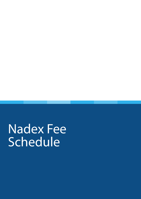Nadex Fee Schedule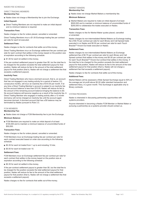# NADEX FEE SCHEDULE

#### DIRECT TRADING MEMBERS **Membership Fee:**

Nadex does not charge a Membership fee to join the Exchange.

#### **Initial Deposit:**

 Direct Trading Members are not required to make an initial deposit and no minimum balance is required.

#### **Transaction Fees:**

Nadex charges no fee for orders placed, cancelled or amended.

Direct Trading Members incur a \$1.00 Exchange trading fee per contract per side for each lot executed.

#### **Settlement Fees:**

Nadex charges no fee for contracts that settle out-of-the-money.

Direct Trading Members incur an Exchange settlement fee per contract per side for each contract that settles in-the-money based on the position size at expiration according to the following schedule:

■ \$1.00 for each lot settled in-the-money.

If the per-contract settlement payout is greater than \$0, but the total fee to be charged for the position exceeds the total settlement payout for that position, Nadex will reduce its fee to the amount of the total settlement payout for that position (that is, Nadex will not charge a settlement fee that exceeds a settlement payout).

### **Inactivity Fees:**

Direct Trading Members who have a dormant account, that is, an account that has not engaged in any trading activity for a period of twelve (12) consecutive months, will incur an inactivity fee of \$10.00 per month. If at any time a Direct Trading Member's account is subject to an inactivity fee but the account balance is less than \$10.00, Nadex will reduce its fee to the amount of the remaining account balance bringing the balance to \$0. No account balance will become negative as a result of the inactivity fee. A Direct Trading Member who engages in trading activity after a 12 month dormancy will not be charged an inactivity fee until the account again becomes dormant. A dormant account that has a \$0 balance may be terminated by Nadex pursuant to Rule 3.3.

# FCM MEMBERS

**Membership Fee:**

Nadex does not charge a FCM Membership fee to join the Exchange.

### **Minimum Balance:**

FCM Members are required to make an initial deposit of at least \$100,000 and to maintain a minimum balance of uncommitted funds of \$50,000.

#### **Transaction Fees:**

Nadex charges no fee for orders placed, cancelled or amended.

FCM Members incur an Exchange trading fee per contract per side for each contract executed based on order size according to the following schedule:

- \$0.35 for each lot traded from 1 up to and including 10 lots;
- \$0.00 for each lot traded over 10.

### **Settlement Fees:**

FCM Members incur an Exchange settlement fee per contract per side for each contract that settles in-the-money based on the position size at expiration according to the following schedule:

■ \$0.35 for each lot settled in-the-money.

If the per-contract settlement payout is greater than \$0, but the total fee to be charged for the position exceeds the total settlement payout for that position, Nadex will reduce its fee to the amount of the total settlement payout for that position (that is, Nadex will not charge a settlement fee that exceeds a settlement payout).

Nadex charges no fee for contracts that settle out-of-the-money.

#### MARKET MAKERS **Membership Fee:**

Nadex does not charge Market Makers a membership fee.

# **Minimum Balance:**

 Market Makers are required to make an initial deposit of at least \$500,000 and to maintain a minimum balance of uncommitted funds of \$250,000 to collateralize the trades executed on Nadex.

# **Transaction Fees:**

Nadex charges no fee for Market Maker quotes placed, cancelled or amended.

Nadex charges its non-intermediated Market Makers an Exchange trading fee of \$0.70 per contract per side for each Binary and Call Spread trade executed in on Nadex and \$0.50 per contract per side for each Touch Bracket™ Knock-Out trade executed on Nadex.

# **Settlement Fees:**

Nadex charges its non-intermediated Market Makers an Exchange settlement fee of \$0.70 per contract per side for each Binary and Call Spread contract that settles in-the-money and \$0.50 per contract per side for each Touch Bracket™ Knock-Out contract that settles in-the-money. If the total fee to be charged for the position exceeds the total settlement payout for that position, Nadex will reduce its fee to the amount of the total settlement payout for that position (that is, Nadex will not charge a settlement fee that exceeds a settlement payout).

Nadex charges no fee for contracts that settle out-of-the-money.

# **Additional Fees:**

Market Makers will be assessed a Wide Spread Surcharge equal to 50% of the average per lot profit above \$2.00 (after standard transaction and settlement fees), in a given month. This Surcharge is applicable only to Binary contracts.

# SYSTEM PROVIDERS

Nadex is interested in discussing partnership opportunities with systems providers.

Anyone interested in becoming a Nadex FCM Member or Market Maker or pursuing a partnership as a systems provider should contact us.